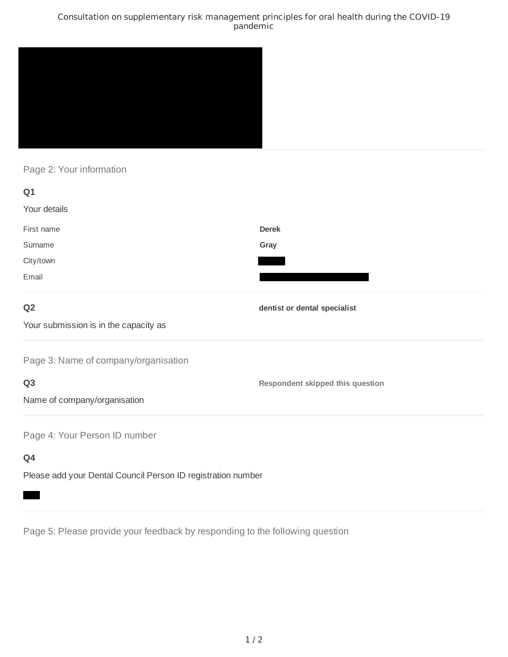### Consultation on supplementary risk management principles for oral health during the COVID-19 pandemic



# Page 2: Your information

| Q <sub>1</sub>                        |                                  |
|---------------------------------------|----------------------------------|
| Your details                          |                                  |
| First name                            | <b>Derek</b>                     |
| Surname                               | Gray                             |
| City/town                             |                                  |
| Email                                 |                                  |
| Q <sub>2</sub>                        | dentist or dental specialist     |
| Your submission is in the capacity as |                                  |
| Page 3: Name of company/organisation  |                                  |
| Q <sub>3</sub>                        | Respondent skipped this question |
| Name of company/organisation          |                                  |
| Page 4: Your Person ID number         |                                  |
| Q4                                    |                                  |

Please add your Dental Council Person ID registration number

Page 5: Please provide your feedback by responding to the following question